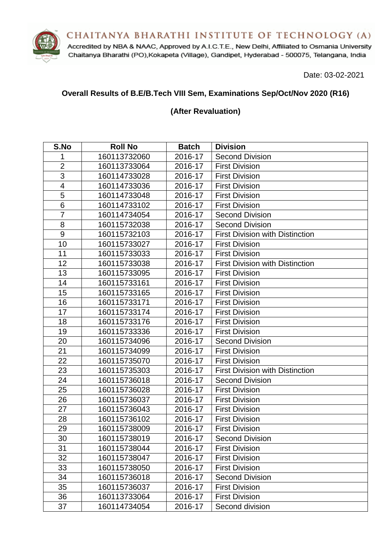CHAITANYA BHARATHI INSTITUTE OF TECHNOLOGY (A)



Accredited by NBA & NAAC, Approved by A.I.C.T.E., New Delhi, Affiliated to Osmania University Chaitanya Bharathi (PO), Kokapeta (Village), Gandipet, Hyderabad - 500075, Telangana, India

Date: 03-02-2021

### **Overall Results of B.E/B.Tech VIII Sem, Examinations Sep/Oct/Nov 2020 (R16)**

#### **(After Revaluation)**

| S.No           | <b>Roll No</b> | <b>Batch</b> | <b>Division</b>                        |
|----------------|----------------|--------------|----------------------------------------|
| 1              | 160113732060   | 2016-17      | <b>Second Division</b>                 |
| $\overline{2}$ | 160113733064   | 2016-17      | <b>First Division</b>                  |
| 3              | 160114733028   | 2016-17      | <b>First Division</b>                  |
| 4              | 160114733036   | 2016-17      | <b>First Division</b>                  |
| 5              | 160114733048   | 2016-17      | <b>First Division</b>                  |
| 6              | 160114733102   | 2016-17      | <b>First Division</b>                  |
| $\overline{7}$ | 160114734054   | 2016-17      | <b>Second Division</b>                 |
| 8              | 160115732038   | 2016-17      | <b>Second Division</b>                 |
| 9              | 160115732103   | 2016-17      | <b>First Division with Distinction</b> |
| 10             | 160115733027   | 2016-17      | <b>First Division</b>                  |
| 11             | 160115733033   | 2016-17      | <b>First Division</b>                  |
| 12             | 160115733038   | 2016-17      | <b>First Division with Distinction</b> |
| 13             | 160115733095   | 2016-17      | <b>First Division</b>                  |
| 14             | 160115733161   | 2016-17      | <b>First Division</b>                  |
| 15             | 160115733165   | 2016-17      | <b>First Division</b>                  |
| 16             | 160115733171   | 2016-17      | <b>First Division</b>                  |
| 17             | 160115733174   | 2016-17      | <b>First Division</b>                  |
| 18             | 160115733176   | 2016-17      | <b>First Division</b>                  |
| 19             | 160115733336   | 2016-17      | <b>First Division</b>                  |
| 20             | 160115734096   | 2016-17      | <b>Second Division</b>                 |
| 21             | 160115734099   | 2016-17      | <b>First Division</b>                  |
| 22             | 160115735070   | 2016-17      | <b>First Division</b>                  |
| 23             | 160115735303   | 2016-17      | <b>First Division with Distinction</b> |
| 24             | 160115736018   | 2016-17      | <b>Second Division</b>                 |
| 25             | 160115736028   | 2016-17      | <b>First Division</b>                  |
| 26             | 160115736037   | 2016-17      | <b>First Division</b>                  |
| 27             | 160115736043   | 2016-17      | <b>First Division</b>                  |
| 28             | 160115736102   | 2016-17      | <b>First Division</b>                  |
| 29             | 160115738009   | 2016-17      | <b>First Division</b>                  |
| 30             | 160115738019   | 2016-17      | <b>Second Division</b>                 |
| 31             | 160115738044   | 2016-17      | <b>First Division</b>                  |
| 32             | 160115738047   | 2016-17      | <b>First Division</b>                  |
| 33             | 160115738050   | 2016-17      | <b>First Division</b>                  |
| 34             | 160115736018   | 2016-17      | <b>Second Division</b>                 |
| 35             | 160115736037   | 2016-17      | <b>First Division</b>                  |
| 36             | 160113733064   | 2016-17      | <b>First Division</b>                  |
| 37             | 160114734054   | 2016-17      | Second division                        |